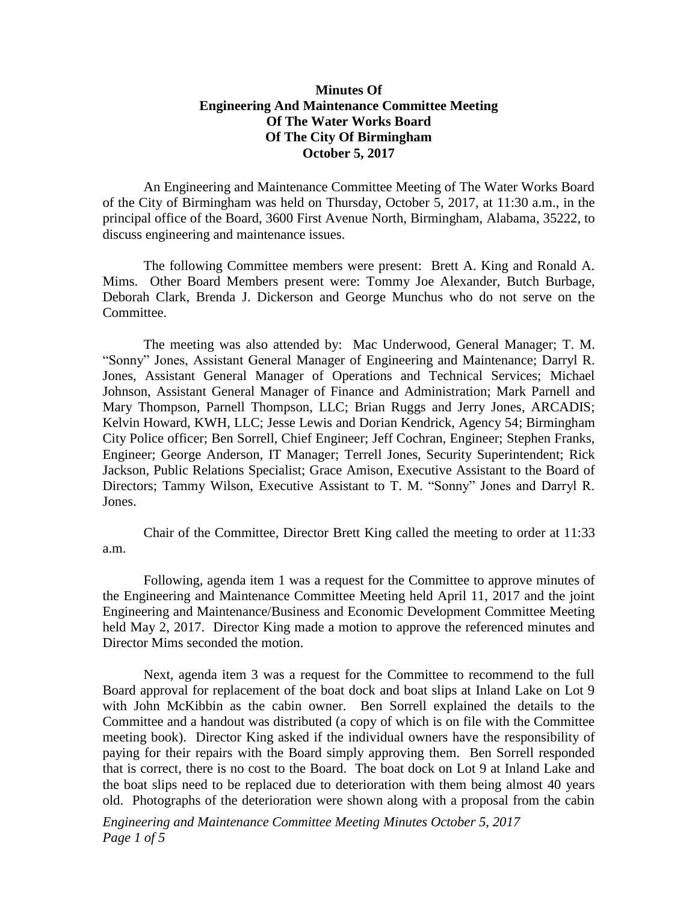## **Minutes Of Engineering And Maintenance Committee Meeting Of The Water Works Board Of The City Of Birmingham October 5, 2017**

An Engineering and Maintenance Committee Meeting of The Water Works Board of the City of Birmingham was held on Thursday, October 5, 2017, at 11:30 a.m., in the principal office of the Board, 3600 First Avenue North, Birmingham, Alabama, 35222, to discuss engineering and maintenance issues.

The following Committee members were present: Brett A. King and Ronald A. Mims. Other Board Members present were: Tommy Joe Alexander, Butch Burbage, Deborah Clark, Brenda J. Dickerson and George Munchus who do not serve on the Committee.

The meeting was also attended by: Mac Underwood, General Manager; T. M. "Sonny" Jones, Assistant General Manager of Engineering and Maintenance; Darryl R. Jones, Assistant General Manager of Operations and Technical Services; Michael Johnson, Assistant General Manager of Finance and Administration; Mark Parnell and Mary Thompson, Parnell Thompson, LLC; Brian Ruggs and Jerry Jones, ARCADIS; Kelvin Howard, KWH, LLC; Jesse Lewis and Dorian Kendrick, Agency 54; Birmingham City Police officer; Ben Sorrell, Chief Engineer; Jeff Cochran, Engineer; Stephen Franks, Engineer; George Anderson, IT Manager; Terrell Jones, Security Superintendent; Rick Jackson, Public Relations Specialist; Grace Amison, Executive Assistant to the Board of Directors; Tammy Wilson, Executive Assistant to T. M. "Sonny" Jones and Darryl R. Jones.

Chair of the Committee, Director Brett King called the meeting to order at 11:33 a.m.

Following, agenda item 1 was a request for the Committee to approve minutes of the Engineering and Maintenance Committee Meeting held April 11, 2017 and the joint Engineering and Maintenance/Business and Economic Development Committee Meeting held May 2, 2017. Director King made a motion to approve the referenced minutes and Director Mims seconded the motion.

Next, agenda item 3 was a request for the Committee to recommend to the full Board approval for replacement of the boat dock and boat slips at Inland Lake on Lot 9 with John McKibbin as the cabin owner. Ben Sorrell explained the details to the Committee and a handout was distributed (a copy of which is on file with the Committee meeting book). Director King asked if the individual owners have the responsibility of paying for their repairs with the Board simply approving them. Ben Sorrell responded that is correct, there is no cost to the Board. The boat dock on Lot 9 at Inland Lake and the boat slips need to be replaced due to deterioration with them being almost 40 years old. Photographs of the deterioration were shown along with a proposal from the cabin

*Engineering and Maintenance Committee Meeting Minutes October 5, 2017 Page 1 of 5*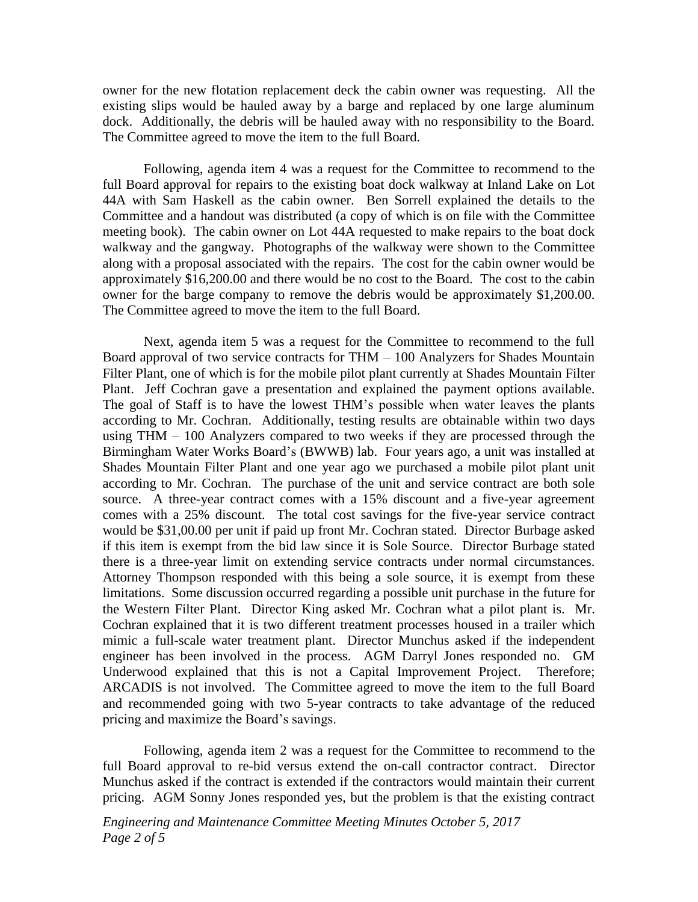owner for the new flotation replacement deck the cabin owner was requesting. All the existing slips would be hauled away by a barge and replaced by one large aluminum dock. Additionally, the debris will be hauled away with no responsibility to the Board. The Committee agreed to move the item to the full Board.

Following, agenda item 4 was a request for the Committee to recommend to the full Board approval for repairs to the existing boat dock walkway at Inland Lake on Lot 44A with Sam Haskell as the cabin owner. Ben Sorrell explained the details to the Committee and a handout was distributed (a copy of which is on file with the Committee meeting book). The cabin owner on Lot 44A requested to make repairs to the boat dock walkway and the gangway. Photographs of the walkway were shown to the Committee along with a proposal associated with the repairs. The cost for the cabin owner would be approximately \$16,200.00 and there would be no cost to the Board. The cost to the cabin owner for the barge company to remove the debris would be approximately \$1,200.00. The Committee agreed to move the item to the full Board.

Next, agenda item 5 was a request for the Committee to recommend to the full Board approval of two service contracts for THM – 100 Analyzers for Shades Mountain Filter Plant, one of which is for the mobile pilot plant currently at Shades Mountain Filter Plant. Jeff Cochran gave a presentation and explained the payment options available. The goal of Staff is to have the lowest THM's possible when water leaves the plants according to Mr. Cochran. Additionally, testing results are obtainable within two days using THM – 100 Analyzers compared to two weeks if they are processed through the Birmingham Water Works Board's (BWWB) lab. Four years ago, a unit was installed at Shades Mountain Filter Plant and one year ago we purchased a mobile pilot plant unit according to Mr. Cochran. The purchase of the unit and service contract are both sole source. A three-year contract comes with a 15% discount and a five-year agreement comes with a 25% discount. The total cost savings for the five-year service contract would be \$31,00.00 per unit if paid up front Mr. Cochran stated. Director Burbage asked if this item is exempt from the bid law since it is Sole Source. Director Burbage stated there is a three-year limit on extending service contracts under normal circumstances. Attorney Thompson responded with this being a sole source, it is exempt from these limitations. Some discussion occurred regarding a possible unit purchase in the future for the Western Filter Plant. Director King asked Mr. Cochran what a pilot plant is. Mr. Cochran explained that it is two different treatment processes housed in a trailer which mimic a full-scale water treatment plant. Director Munchus asked if the independent engineer has been involved in the process. AGM Darryl Jones responded no. GM Underwood explained that this is not a Capital Improvement Project. Therefore; ARCADIS is not involved. The Committee agreed to move the item to the full Board and recommended going with two 5-year contracts to take advantage of the reduced pricing and maximize the Board's savings.

Following, agenda item 2 was a request for the Committee to recommend to the full Board approval to re-bid versus extend the on-call contractor contract. Director Munchus asked if the contract is extended if the contractors would maintain their current pricing. AGM Sonny Jones responded yes, but the problem is that the existing contract

*Engineering and Maintenance Committee Meeting Minutes October 5, 2017 Page 2 of 5*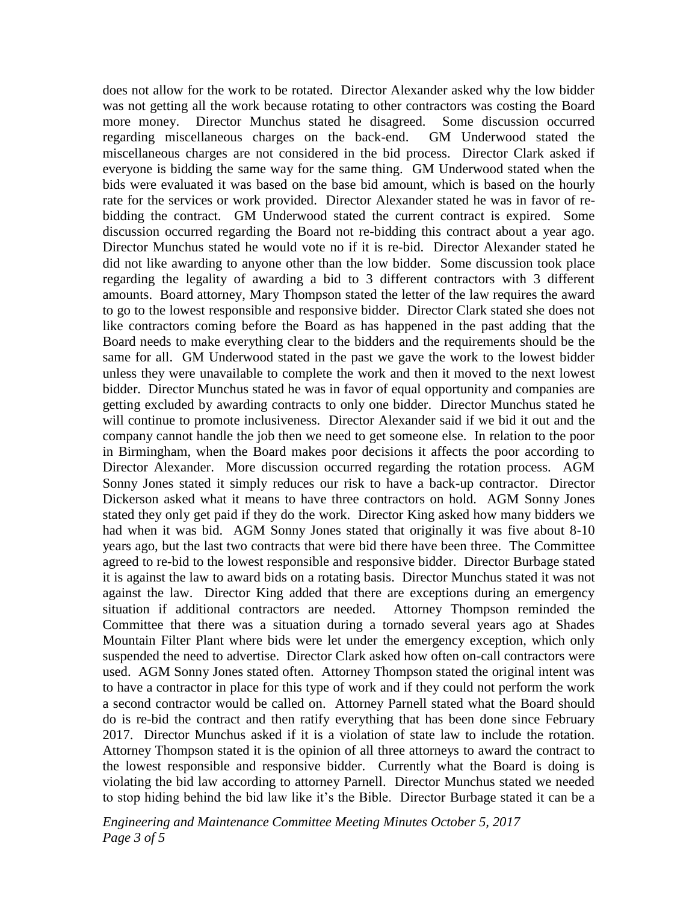does not allow for the work to be rotated. Director Alexander asked why the low bidder was not getting all the work because rotating to other contractors was costing the Board more money. Director Munchus stated he disagreed. Some discussion occurred regarding miscellaneous charges on the back-end. GM Underwood stated the miscellaneous charges are not considered in the bid process. Director Clark asked if everyone is bidding the same way for the same thing. GM Underwood stated when the bids were evaluated it was based on the base bid amount, which is based on the hourly rate for the services or work provided. Director Alexander stated he was in favor of rebidding the contract. GM Underwood stated the current contract is expired. Some discussion occurred regarding the Board not re-bidding this contract about a year ago. Director Munchus stated he would vote no if it is re-bid. Director Alexander stated he did not like awarding to anyone other than the low bidder. Some discussion took place regarding the legality of awarding a bid to 3 different contractors with 3 different amounts. Board attorney, Mary Thompson stated the letter of the law requires the award to go to the lowest responsible and responsive bidder. Director Clark stated she does not like contractors coming before the Board as has happened in the past adding that the Board needs to make everything clear to the bidders and the requirements should be the same for all. GM Underwood stated in the past we gave the work to the lowest bidder unless they were unavailable to complete the work and then it moved to the next lowest bidder. Director Munchus stated he was in favor of equal opportunity and companies are getting excluded by awarding contracts to only one bidder. Director Munchus stated he will continue to promote inclusiveness. Director Alexander said if we bid it out and the company cannot handle the job then we need to get someone else. In relation to the poor in Birmingham, when the Board makes poor decisions it affects the poor according to Director Alexander. More discussion occurred regarding the rotation process. AGM Sonny Jones stated it simply reduces our risk to have a back-up contractor. Director Dickerson asked what it means to have three contractors on hold. AGM Sonny Jones stated they only get paid if they do the work. Director King asked how many bidders we had when it was bid. AGM Sonny Jones stated that originally it was five about 8-10 years ago, but the last two contracts that were bid there have been three. The Committee agreed to re-bid to the lowest responsible and responsive bidder. Director Burbage stated it is against the law to award bids on a rotating basis. Director Munchus stated it was not against the law. Director King added that there are exceptions during an emergency situation if additional contractors are needed. Attorney Thompson reminded the Committee that there was a situation during a tornado several years ago at Shades Mountain Filter Plant where bids were let under the emergency exception, which only suspended the need to advertise. Director Clark asked how often on-call contractors were used. AGM Sonny Jones stated often. Attorney Thompson stated the original intent was to have a contractor in place for this type of work and if they could not perform the work a second contractor would be called on. Attorney Parnell stated what the Board should do is re-bid the contract and then ratify everything that has been done since February 2017. Director Munchus asked if it is a violation of state law to include the rotation. Attorney Thompson stated it is the opinion of all three attorneys to award the contract to the lowest responsible and responsive bidder. Currently what the Board is doing is violating the bid law according to attorney Parnell. Director Munchus stated we needed to stop hiding behind the bid law like it's the Bible. Director Burbage stated it can be a

*Engineering and Maintenance Committee Meeting Minutes October 5, 2017 Page 3 of 5*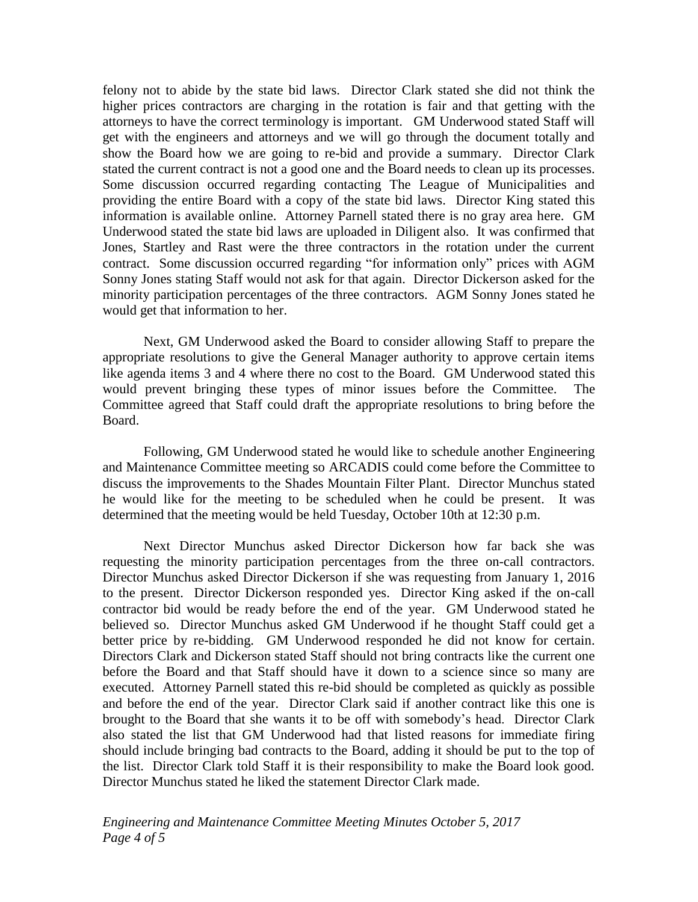felony not to abide by the state bid laws. Director Clark stated she did not think the higher prices contractors are charging in the rotation is fair and that getting with the attorneys to have the correct terminology is important. GM Underwood stated Staff will get with the engineers and attorneys and we will go through the document totally and show the Board how we are going to re-bid and provide a summary. Director Clark stated the current contract is not a good one and the Board needs to clean up its processes. Some discussion occurred regarding contacting The League of Municipalities and providing the entire Board with a copy of the state bid laws. Director King stated this information is available online. Attorney Parnell stated there is no gray area here. GM Underwood stated the state bid laws are uploaded in Diligent also. It was confirmed that Jones, Startley and Rast were the three contractors in the rotation under the current contract. Some discussion occurred regarding "for information only" prices with AGM Sonny Jones stating Staff would not ask for that again. Director Dickerson asked for the minority participation percentages of the three contractors. AGM Sonny Jones stated he would get that information to her.

Next, GM Underwood asked the Board to consider allowing Staff to prepare the appropriate resolutions to give the General Manager authority to approve certain items like agenda items 3 and 4 where there no cost to the Board. GM Underwood stated this would prevent bringing these types of minor issues before the Committee. The Committee agreed that Staff could draft the appropriate resolutions to bring before the Board.

Following, GM Underwood stated he would like to schedule another Engineering and Maintenance Committee meeting so ARCADIS could come before the Committee to discuss the improvements to the Shades Mountain Filter Plant. Director Munchus stated he would like for the meeting to be scheduled when he could be present. It was determined that the meeting would be held Tuesday, October 10th at 12:30 p.m.

Next Director Munchus asked Director Dickerson how far back she was requesting the minority participation percentages from the three on-call contractors. Director Munchus asked Director Dickerson if she was requesting from January 1, 2016 to the present. Director Dickerson responded yes. Director King asked if the on-call contractor bid would be ready before the end of the year. GM Underwood stated he believed so. Director Munchus asked GM Underwood if he thought Staff could get a better price by re-bidding. GM Underwood responded he did not know for certain. Directors Clark and Dickerson stated Staff should not bring contracts like the current one before the Board and that Staff should have it down to a science since so many are executed. Attorney Parnell stated this re-bid should be completed as quickly as possible and before the end of the year. Director Clark said if another contract like this one is brought to the Board that she wants it to be off with somebody's head. Director Clark also stated the list that GM Underwood had that listed reasons for immediate firing should include bringing bad contracts to the Board, adding it should be put to the top of the list. Director Clark told Staff it is their responsibility to make the Board look good. Director Munchus stated he liked the statement Director Clark made.

*Engineering and Maintenance Committee Meeting Minutes October 5, 2017 Page 4 of 5*